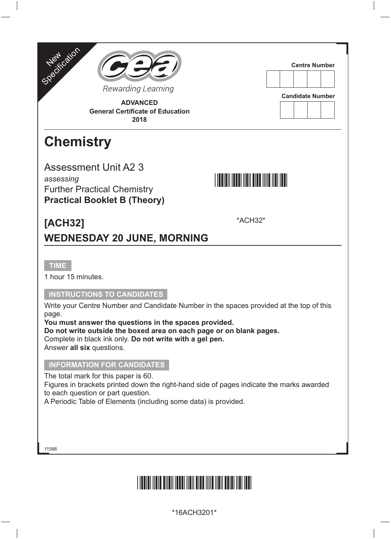



**Centre Number**

**Candidate Number**

#### **ADVANCED General Certificate of Education 2018**

### **Chemistry**

Assessment Unit A2 3 *assessing* Further Practical Chemistry **Practical Booklet B (Theory)**



\*ACH32\*

**[ACH32] WEDNESDAY 20 JUNE, MORNING**

**TIME**

1 hour 15 minutes.

#### **INSTRUCTIONS TO CANDIDATES**

Write your Centre Number and Candidate Number in the spaces provided at the top of this page.

**You must answer the questions in the spaces provided.** 

**Do not write outside the boxed area on each page or on blank pages.** 

Complete in black ink only. **Do not write with a gel pen.**

Answer **all six** questions.

#### **INFORMATION FOR CANDIDATES**

The total mark for this paper is 60.

Figures in brackets printed down the right-hand side of pages indicate the marks awarded to each question or part question.

A Periodic Table of Elements (including some data) is provided.

11566

# <u>\*16ACH3201\*16ACH3201\*16ACH3201\*16ACH3201\*16ACH3201\*16ACH</u>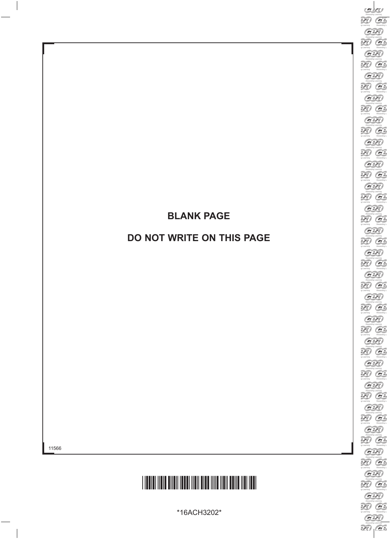#### **BLANK PAGE**

#### **DO NOT WRITE ON THIS PAGE**



\*16ACH3202\*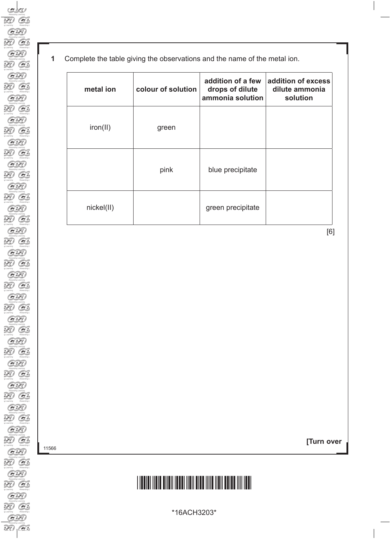| metal ion  | colour of solution | addition of a few<br>drops of dilute<br>ammonia solution | addition of excess<br>dilute ammonia<br>solution |
|------------|--------------------|----------------------------------------------------------|--------------------------------------------------|
| iron(II)   | green              |                                                          |                                                  |
|            | pink               | blue precipitate                                         |                                                  |
| nickel(II) |                    | green precipitate                                        |                                                  |

[6]

11566

**[Turn over**

# \*16ACH3203\*

\*16ACH3203\*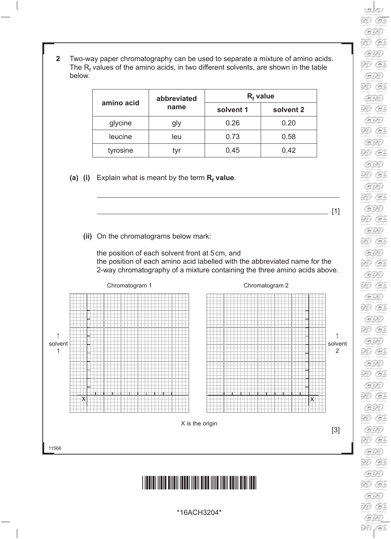**2** Two-way paper chromatography can be used to separate a mixture of amino acids. The  $R_f$  values of the amino acids, in two different solvents, are shown in the table below.

|            | abbreviated |           | $Rf$ value |
|------------|-------------|-----------|------------|
| amino acid | name        | solvent 1 | solvent 2  |
| glycine    | gly         | 0.26      | 0.20       |
| leucine    | leu         | 0.73      | 0.58       |
| tyrosine   |             | 0.45      | 0.42       |

**(a) (i)** Explain what is meant by the term **R<sup>f</sup> value**.





#### \*16ACH3204\*

\*16ACH3204\*

Q.  $G$  $\overline{\mathscr{L}}$  $G$  $\mathcal{H}$  $G$  $\widetilde{H}$  $G$ 39  $G$ **DE**  $G$  $\widetilde{H}$  $G$  $\overline{\mathscr{L}}$  $G$ G. Rewarding  $G$  $\widetilde{2D}$  $G$ Rewarding  $G$  $\mathbb{R}$  $G$ 30 G 33 G 30 G  $\mathbb{R}$ G  $\widetilde{2D}$  $G$  $\mathbb{R}$  $G$ 33 G.  $G$ 33  $\odot$  $G$ 

 $\_$  [1]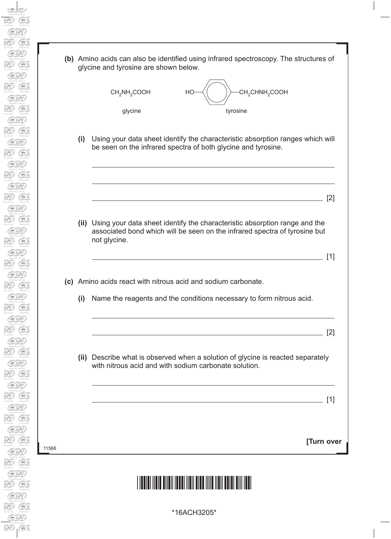| (b) Amino acids can also be identified using infrared spectroscopy. The structures of |
|---------------------------------------------------------------------------------------|
| glycine and tyrosine are shown below.                                                 |



**(i)** Using your data sheet identify the characteristic absorption ranges which will be seen on the infrared spectra of both glycine and tyrosine.

**[Turn over**  $\blacksquare$ **(ii)** Using your data sheet identify the characteristic absorption range and the associated bond which will be seen on the infrared spectra of tyrosine but not glycine.  $\frac{1}{2}$  [1] **(c)** Amino acids react with nitrous acid and sodium carbonate. **(i)** Name the reagents and the conditions necessary to form nitrous acid.  $\overline{\phantom{a}}$  [2] **(ii)** Describe what is observed when a solution of glycine is reacted separately with nitrous acid and with sodium carbonate solution. [1]

### \*16ACH3205\*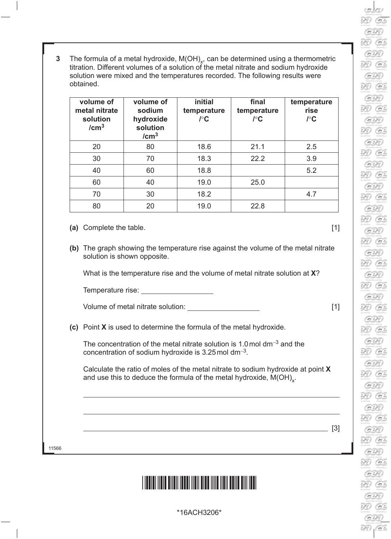- 30  $G$  $\overline{\mathscr{L}}$  $G$ 39  $G$ 39  $G$ 39  $G$ **DE**  $\odot$ 30 G 3E)  $G$ 39  $G$ 39  $G$  $\mathcal{D}$  $G$ 39 G 30  $\mathcal{C}$ 33 G 2E) G  $G$ 30  $G$  $\widetilde{2D}$  $G$  $\overline{\mathscr{L}}$  $G$ 33  $G$  $G$ **RE**  $\odot$  $G$
- **3** The formula of a metal hydroxide, M(OH)<sub>x</sub>, can be determined using a thermometric titration. Different volumes of a solution of the metal nitrate and sodium hydroxide solution were mixed and the temperatures recorded. The following results were obtained.

| volume of<br>metal nitrate<br>solution<br>/cm <sup>3</sup> | volume of<br>sodium<br>hydroxide<br>solution<br>/cm <sup>3</sup> | <i>initial</i><br>temperature<br>$\int C$ | final<br>temperature<br>$I^{\circ}$ C | temperature<br>rise<br>$I^{\circ}$ C |
|------------------------------------------------------------|------------------------------------------------------------------|-------------------------------------------|---------------------------------------|--------------------------------------|
| 20                                                         | 80                                                               | 18.6                                      | 21.1                                  | 2.5                                  |
| 30                                                         | 70                                                               | 18.3                                      | 22.2                                  | 3.9                                  |
| 40                                                         | 60                                                               | 18.8                                      |                                       | 5.2                                  |
| 60                                                         | 40                                                               | 19.0                                      | 25.0                                  |                                      |
| 70                                                         | 30                                                               | 18.2                                      |                                       | 4.7                                  |
| 80                                                         | 20                                                               | 19.0                                      | 22.8                                  |                                      |

- **(a)** Complete the table. [1]
- **(b)** The graph showing the temperature rise against the volume of the metal nitrate solution is shown opposite.

What is the temperature rise and the volume of metal nitrate solution at **X**?

Temperature rise:

Volume of metal nitrate solution: [1]

**(c)** Point **X** is used to determine the formula of the metal hydroxide.

The concentration of the metal nitrate solution is 1.0mol dm<sup>−</sup>3 and the concentration of sodium hydroxide is 3.25mol dm<sup>−</sup>3.

 Calculate the ratio of moles of the metal nitrate to sodium hydroxide at point **X** and use this to deduce the formula of the metal hydroxide,  $M(OH)_{\sim}$ .

11566

#### <u>\*16ACH3206 ACH3206 ACH3206 ACH3206 ACH3206 ACH3206 ACH3206 ACH3206 ACH3206 ACH3206 ACH3206 ACH3206 ACH3206 ACH</u>

<u>[3]</u> [3] **[3]**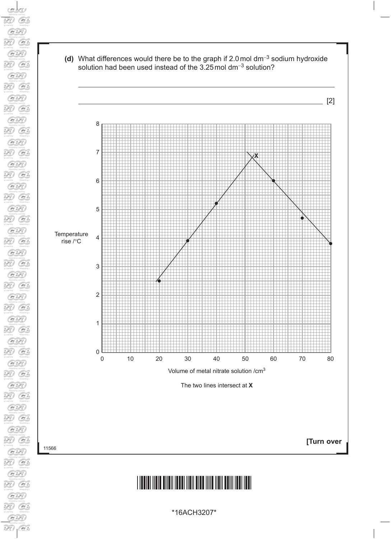



# \*16ACH3207\*

\*16ACH3207\*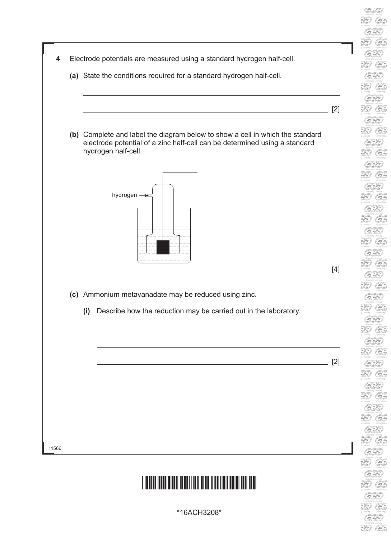

33  $G$  $G$ 



\*16ACH3208\*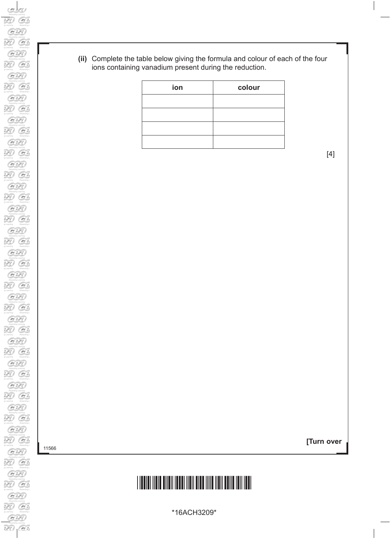**(ii)** Complete the table below giving the formula and colour of each of the four ions containing vanadium present during the reduction.

| ion | colour |
|-----|--------|
|     |        |
|     |        |
|     |        |
|     |        |

[4]

**[Turn over**

## \*16ACH3209\*

GE Đ

perming<br>Consulting to<br>PC

 $\begin{picture}(120,140)(-20,140)(-20,140)(-20,140)(-20,140)(-20,140)(-20,140)(-20,140)(-20,140)(-20,140)(-20,140)(-20,140)(-20,140)(-20,140)(-20,140)(-20,140)(-20,140)(-20,140)(-20,140)(-20,140)(-20,140)(-20,140)(-20,140)(-20,140)(-20,140)(-20,140)(-20,140$ 

Rewarding L<br>**DED**<br>Learning<br>Rewarding L

Ð  $\overbrace{\bullet}$ Ð  $\overbrace{\mathcal{G}}^{\text{learning}}$ 

Rewarding L<br>Learning<br>Contains Contains Learning L

Fremanting Learning<br>Committee Committee<br>Remarking Learning<br>Remarking Learning

Freewarding L<br>Learning<br>Comparing L<br>Revealing L<br>Revealing L<br>Revealing L

 $\overbrace{G}$ D.

 $G$ 

Fremanting L<br>Umarring<br>Remarking L

Rewarding L<br>**DED**<br>Rewarding

E)  $\overbrace{G}$ 

Rewarding L<br>**DED**<br>Rewarding

Fremanting L<br>Learning<br>Remarking L

.<br>E

 $\overbrace{G}$ .<br>B  $G$  $\widehat{\mathbb{H}}$ terming<br>GS

 $\overbrace{C}$ <br>Reaming<br>Reaming

\*16ACH3209\*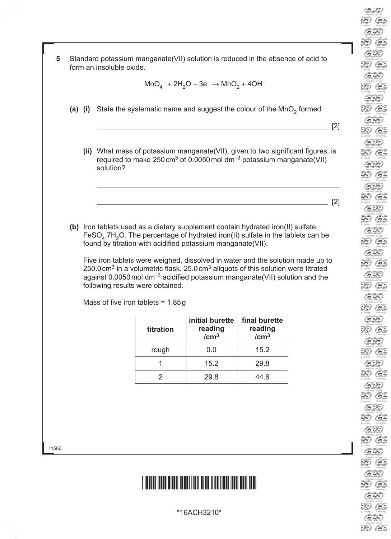

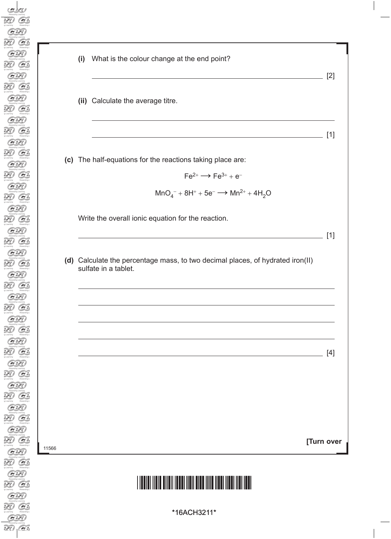| What is the colour change at the end point?<br>(i)                                                     |       |
|--------------------------------------------------------------------------------------------------------|-------|
|                                                                                                        | $[2]$ |
| (ii) Calculate the average titre.                                                                      |       |
|                                                                                                        | $[1]$ |
| (c) The half-equations for the reactions taking place are:                                             |       |
| $Fe^{2+} \longrightarrow Fe^{3+} + e^-$                                                                |       |
| $MnO_4^- + 8H^+ + 5e^- \longrightarrow Mn^{2+} + 4H_2O$                                                |       |
| Write the overall ionic equation for the reaction.                                                     | $[1]$ |
| (d) Calculate the percentage mass, to two decimal places, of hydrated iron(II)<br>sulfate in a tablet. |       |
|                                                                                                        |       |
|                                                                                                        | $[4]$ |
|                                                                                                        |       |
|                                                                                                        |       |
|                                                                                                        |       |

# \*16ACH3211\*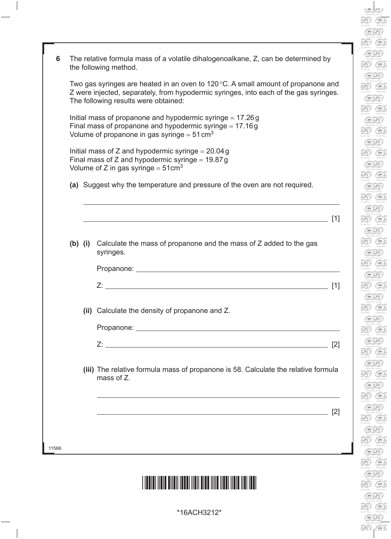$\sum_{q \text{ learning}}$  $G$  $\sum_{g \text{ *learning*} }^{Rewardin}$  $\mathcal G$  $\sum_{q \text{ learning}}^{Rewardin}$  $\overbrace{P_{\text{c}}}\n\overbrace{P_{\text{c}}}\n\overbrace{P_{\text{c}}}\n\overbrace{P_{\text{c}}}\n\overbrace{P_{\text{c}}}\n\overbrace{P_{\text{c}}}\n\overbrace{P_{\text{c}}}\n\overbrace{P_{\text{c}}}\n\overbrace{P_{\text{c}}}\n\overbrace{P_{\text{c}}}\n\overbrace{P_{\text{c}}}\n\overbrace{P_{\text{c}}}\n\overbrace{P_{\text{c}}}\n\overbrace{P_{\text{c}}}\n\overbrace{P_{\text{c}}}\n\overbrace{P_{\text{c}}}\n\overbrace{P_{\text{c}}}\$  $\overbrace{ }$ <br> $\overbrace{ }$ <br> $\overbrace{ }$ <br> $\overbrace{ }$ <br> $\overbrace{ }$ <br> $\overbrace{ }$ <br> $\overbrace{ }$ <br> $\overbrace{ }$ <br> $\overbrace{ }$ <br><br> $\overbrace{ }$ <br><br><br><br><br><br><br><br><br><br><br><br><br><br><br><br>  $G$  $\overbrace{$  Rewarding  $\overbrace{ }$  Rewarding<br> $\overbrace{ }$ <br> $\overbrace{ }$ <br> $\overbrace{ }$ <br> $\overbrace{ }$ <br> $\overbrace{ }$ <br> $\overbrace{ }$ <br> $\overbrace{ }$ <br> $\overbrace{ }$ <br> $\overbrace{ }$ <br> $\overbrace{ }$ <br> $\overbrace{ }$ <br> $\overbrace{ }$ <br> $\overbrace{ }$ <br> $\overbrace{ }$ <br><br> $\overbrace{ }$ <br><br><br><br><br><br><br><br><br><br><br><br><br><br><br><br><br><br><br><br><br><br>  $\mathcal{G}$  $\mathcal{L}$ g Learning<br>Contains and the Remarking  $\sum_{q \text{ learning}}^{\text{Hewarden}}$  $G$  $\sum_{q \text{ learning}}^{Rewardin}$  $G$  $\sum_{q \text{ learning}}^{Rewaction}$  $\overbrace{ }$ <br>
Rewardin<br>  $\overbrace{ }$ <br>  $\overbrace{ }$ <br>  $\overbrace{ }$ <br>  $\overbrace{ }$ <br>  $\overbrace{ }$ <br>  $\overbrace{ }$ <br>  $\overbrace{ }$ <br>  $\overbrace{ }$ <br>  $\overbrace{ }$ <br>  $\overbrace{ }$ <br>  $\overbrace{ }$ <br>  $\overbrace{ }$ <br>  $\overbrace{ }$ <br>  $\overbrace{ }$ <br>  $\overbrace{ }$ <br>  $\overbrace{ }$ <br>  $\overbrace{ }$ <br>  $\overbrace{ }$ <br>  $\overbrace{ }$ <br>  $\overbrace{ }$ <br>  $\overbrace{ }$ <br>  $\overbrace{ }$ <br>  $\overbrace$  $G$ Rewardin<br>
y Learning<br>
Rewardin<br>
Party<br>
y Learning  $\overbrace{ }$ <br> $\overbrace{ }$ <br> $\overbrace{ }$ <br> $\overbrace{ }$ <br> $\overbrace{ }$ <br> $\overbrace{ }$ <br> $\overbrace{ }$ <br> $\overbrace{ }$ <br><br> $\overbrace{ }$ <br><br><br><br><br><br><br><br><br><br><br><br><br><br><br><br><br><br>  $\sigma$  $\sum_{q \text{ learning}}^{Reward in}$  $\mathcal G$  $\sum_{q \text{ learning}}^{Reward in}$  $G$ Revealing<br>
y Learning<br>
(Containing<br>
Revealing<br>
Revealing<br>
Revealing<br>
Revealing<br>
Revealing g Learning<br>Rewardship<br>**DED**<br>g Learning  $\overbrace{ }$ <br>  $\overbrace{ }$ <br>  $\overbrace{ }$ <br>  $\overbrace{ }$ <br>  $\overbrace{ }$ <br>  $\overbrace{ }$ <br>  $\overbrace{ }$ <br>  $\overbrace{ }$ <br>  $\overbrace{ }$ <br>  $\overbrace{ }$ <br>  $\overbrace{ }$ <br>  $\overbrace{ }$ <br>  $\overbrace{ }$ <br>  $\overbrace{ }$ <br>  $\overbrace{ }$ <br>  $\overbrace{ }$ <br>  $\overbrace{ }$ <br>  $\overbrace{ }$ <br>  $\overbrace{ }$ <br>  $\overbrace{ }$ <br>  $\overbrace{ }$ <br>  $\overbrace{ }$ <br>  $\overbrace{ }$ <br>  $\overbrace{ }$ <br>  $\overbrace{$ uening<br>G

| 6     |                                                                                                                                                                                                                             |  | The relative formula mass of a volatile dihalogenoalkane, Z, can be determined by<br>the following method.                                                                                                                    |     |  |
|-------|-----------------------------------------------------------------------------------------------------------------------------------------------------------------------------------------------------------------------------|--|-------------------------------------------------------------------------------------------------------------------------------------------------------------------------------------------------------------------------------|-----|--|
|       | Two gas syringes are heated in an oven to $120^{\circ}$ C. A small amount of propanone and<br>Z were injected, separately, from hypodermic syringes, into each of the gas syringes.<br>The following results were obtained: |  |                                                                                                                                                                                                                               |     |  |
|       | Initial mass of propanone and hypodermic syringe $= 17.26$ g<br>Final mass of propanone and hypodermic syringe $= 17.16g$<br>Volume of propanone in gas syringe = $51 \text{ cm}^3$                                         |  |                                                                                                                                                                                                                               |     |  |
|       | Initial mass of Z and hypodermic syringe = $20.04 g$<br>Final mass of Z and hypodermic syringe = $19.87g$<br>Volume of Z in gas syringe = $51 \text{cm}^3$                                                                  |  |                                                                                                                                                                                                                               |     |  |
|       |                                                                                                                                                                                                                             |  | (a) Suggest why the temperature and pressure of the oven are not required.                                                                                                                                                    |     |  |
|       |                                                                                                                                                                                                                             |  |                                                                                                                                                                                                                               | [1] |  |
|       |                                                                                                                                                                                                                             |  | (b) (i) Calculate the mass of propanone and the mass of Z added to the gas<br>syringes.                                                                                                                                       |     |  |
|       |                                                                                                                                                                                                                             |  |                                                                                                                                                                                                                               |     |  |
|       |                                                                                                                                                                                                                             |  |                                                                                                                                                                                                                               | [1] |  |
|       |                                                                                                                                                                                                                             |  | (ii) Calculate the density of propanone and Z.                                                                                                                                                                                |     |  |
|       |                                                                                                                                                                                                                             |  |                                                                                                                                                                                                                               |     |  |
|       |                                                                                                                                                                                                                             |  |                                                                                                                                                                                                                               | [2] |  |
|       |                                                                                                                                                                                                                             |  | (iii) The relative formula mass of propanone is 58. Calculate the relative formula<br>mass of Z.                                                                                                                              |     |  |
|       |                                                                                                                                                                                                                             |  | <u> 1989 - Johann Stoff, deutscher Stoff, der Stoff, der Stoff, der Stoff, der Stoff, der Stoff, der Stoff, der S</u>                                                                                                         | [2] |  |
|       |                                                                                                                                                                                                                             |  |                                                                                                                                                                                                                               |     |  |
| 11566 |                                                                                                                                                                                                                             |  | the control of the control of the control of the control of the control of the control of the control of the control of the control of the control of the control of the control of the control of the control of the control |     |  |
|       |                                                                                                                                                                                                                             |  |                                                                                                                                                                                                                               |     |  |

### \*16ACH3212\*

 $\overline{\phantom{a}}$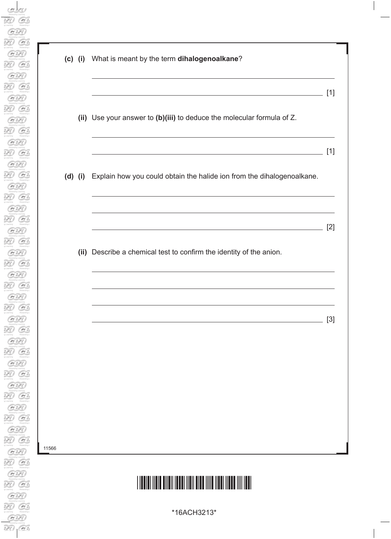|    | (c) (i) What is meant by the term dihalogenoalkane?                                                                                                                                                                                                                                                             |       |
|----|-----------------------------------------------------------------------------------------------------------------------------------------------------------------------------------------------------------------------------------------------------------------------------------------------------------------|-------|
|    | <u> 1989 - Johann Barbara, martxa alemaniar amerikan personal (h. 1989).</u>                                                                                                                                                                                                                                    | $[1]$ |
|    | (ii) Use your answer to (b)(iii) to deduce the molecular formula of Z.                                                                                                                                                                                                                                          |       |
|    | the control of the control of the control of the control of the control of the control of the control of the control of the control of the control of the control of the control of the control of the control of the control<br>(d) (i) Explain how you could obtain the halide ion from the dihalogenoalkane. | $[1]$ |
|    |                                                                                                                                                                                                                                                                                                                 |       |
|    | and the control of the control of the control of the control of the control of the control of the control of the                                                                                                                                                                                                | $[2]$ |
|    | (ii) Describe a chemical test to confirm the identity of the anion.                                                                                                                                                                                                                                             |       |
|    |                                                                                                                                                                                                                                                                                                                 |       |
|    |                                                                                                                                                                                                                                                                                                                 | $[3]$ |
|    |                                                                                                                                                                                                                                                                                                                 |       |
|    |                                                                                                                                                                                                                                                                                                                 |       |
|    |                                                                                                                                                                                                                                                                                                                 |       |
| 66 |                                                                                                                                                                                                                                                                                                                 |       |
|    |                                                                                                                                                                                                                                                                                                                 |       |

# \*16ACH3213\*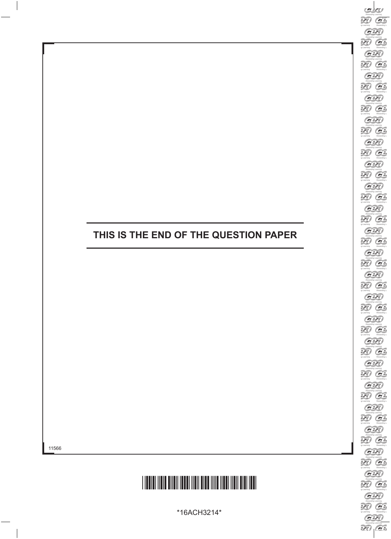#### **THIS IS THE END OF THE QUESTION PAPER**



\*16ACH3214\*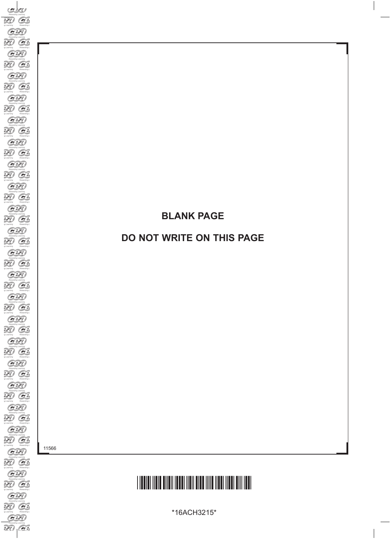#### **BLANK PAGE**

#### **DO NOT WRITE ON THIS PAGE**

11566

# \*16ACH3215\*

\*16ACH3215\*